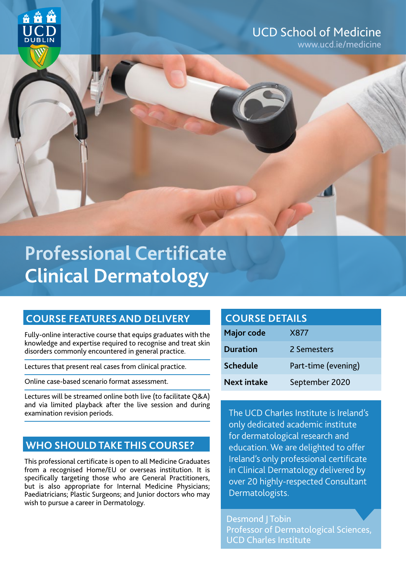

## UCD School of Medicine

www.ucd.ie/medicine

# **Clinical Dermatology 1999 Professional Certificate**

## **COURSE FEATURES AND DELIVERY**

Fully-online interactive course that equips graduates with the knowledge and expertise required to recognise and treat skin disorders commonly encountered in general practice.

Lectures that present real cases from clinical practice.

Online case-based scenario format assessment.

Lectures will be streamed online both live (to facilitate Q&A) and via limited playback after the live session and during examination revision periods.

## **WHO SHOULD TAKE THIS COURSE?**

This professional certificate is open to all Medicine Graduates from a recognised Home/EU or overseas institution. It is specifically targeting those who are General Practitioners, but is also appropriate for Internal Medicine Physicians; Paediatricians; Plastic Surgeons; and Junior doctors who may wish to pursue a career in Dermatology.

| <b>COURSE DETAILS</b> |  |  |
|-----------------------|--|--|
|                       |  |  |
|                       |  |  |

| Major code         | X877                |
|--------------------|---------------------|
| <b>Duration</b>    | 2 Semesters         |
| <b>Schedule</b>    | Part-time (evening) |
| <b>Next intake</b> | September 2020      |

The UCD Charles Institute is Ireland's only dedicated academic institute for dermatological research and education. We are delighted to offer Ireland's only professional certificate in Clinical Dermatology delivered by over 20 highly-respected Consultant Dermatologists.

Desmond J Tobin Professor of Dermatological Sciences, UCD Charles Institute